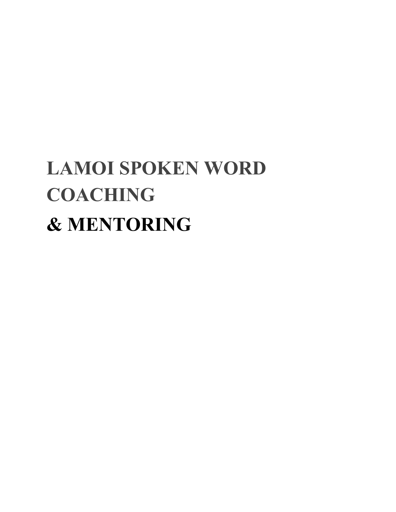# **LAMOI SPOKEN WORD COACHING & MENTORING**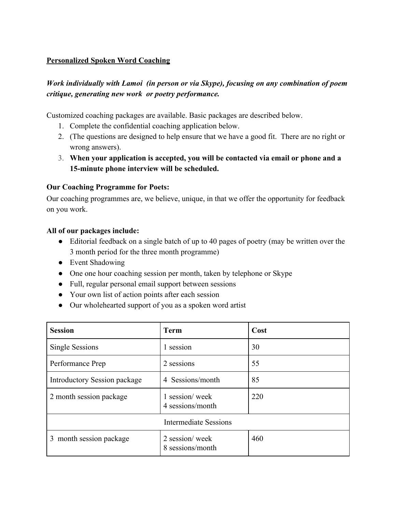### **[Personalized Spoken Word Coaching](http://www.martyoutloud.com/s/poetry-coaching-flyer-2015-nqp5.pdf)**

## *Work individually with Lamoi (in person or via Skype), focusing on any combination of poem critique, generating new work or poetry performance.*

Customized coaching packages are available. Basic packages are described below.

- 1. Complete the confidential coaching application below.
- 2. (The questions are designed to help ensure that we have a good fit. There are no right or wrong answers).
- 3. **When your application is accepted, you will be contacted via email or phone and a 15-minute phone interview will be scheduled.**

#### **Our Coaching Programme for Poets:**

Our coaching programmes are, we believe, unique, in that we offer the opportunity for feedback on you work.

#### **All of our packages include:**

- Editorial feedback on a single batch of up to 40 pages of poetry (may be written over the 3 month period for the three month programme)
- Event Shadowing
- One one hour coaching session per month, taken by telephone or Skype
- Full, regular personal email support between sessions
- Your own list of action points after each session
- Our wholehearted support of you as a spoken word artist

| <b>Session</b>               | <b>Term</b>                        | Cost |  |  |
|------------------------------|------------------------------------|------|--|--|
| <b>Single Sessions</b>       | 1 session                          | 30   |  |  |
| Performance Prep             | 2 sessions                         | 55   |  |  |
| Introductory Session package | 4 Sessions/month                   | 85   |  |  |
| 2 month session package      | 1 session/week<br>4 sessions/month | 220  |  |  |
| <b>Intermediate Sessions</b> |                                    |      |  |  |
| 3 month session package      | 2 session/week<br>8 sessions/month | 460  |  |  |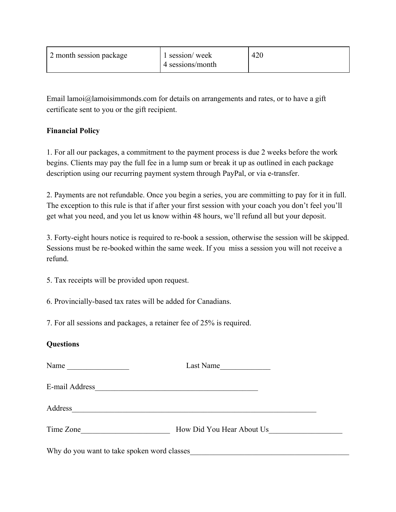| 2 month session package | 1 session/week<br>4 sessions/month | 420 |
|-------------------------|------------------------------------|-----|
|                         |                                    |     |

Emai[l](http://www.martyoutloud.com/contact) lamoi $@$ lamoisimmonds.com for details on arrangements and rates, or to have a gift certificate sent to you or the gift recipient.

#### **Financial Policy**

1. For all our packages, a commitment to the payment process is due 2 weeks before the work begins. Clients may pay the full fee in a lump sum or break it up as outlined in each package description using our recurring payment system through PayPal, or via e-transfer.

2. Payments are not refundable. Once you begin a series, you are committing to pay for it in full. The exception to this rule is that if after your first session with your coach you don't feel you'll get what you need, and you let us know within 48 hours, we'll refund all but your deposit.

3. Forty-eight hours notice is required to re-book a session, otherwise the session will be skipped. Sessions must be re-booked within the same week. If you miss a session you will not receive a refund.

5. Tax receipts will be provided upon request.

6. Provincially-based tax rates will be added for Canadians.

7. For all sessions and packages, a retainer fee of 25% is required.

#### **Questions**

| Name<br><u> 1989 - Johann Barbara, martin a</u> | Last Name                                                                                                             |
|-------------------------------------------------|-----------------------------------------------------------------------------------------------------------------------|
| E-mail Address                                  | <u> 1989 - Johann Harry Harry Harry Harry Harry Harry Harry Harry Harry Harry Harry Harry Harry Harry Harry Harry</u> |
| Address                                         |                                                                                                                       |
| Time Zone                                       | How Did You Hear About Us                                                                                             |
| Why do you want to take spoken word classes     |                                                                                                                       |